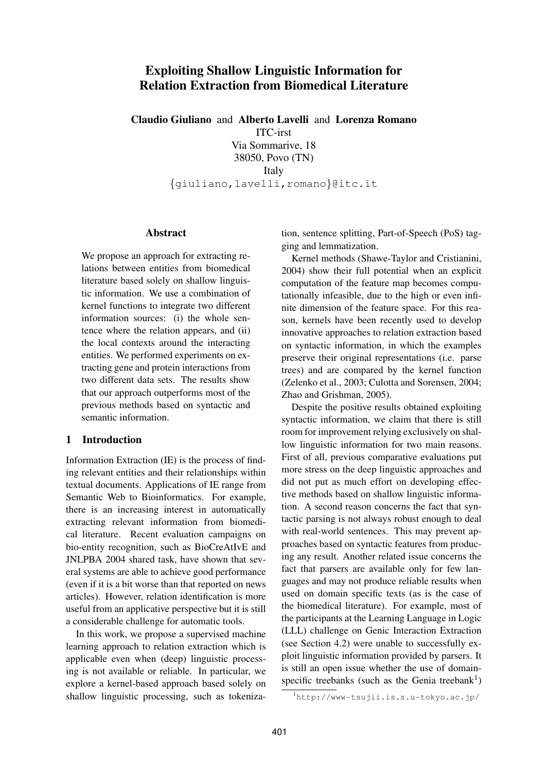# **Exploiting Shallow Linguistic Information for Relation Extraction from Biomedical Literature**

**Claudio Giuliano** and **Alberto Lavelli** and **Lorenza Romano** ITC-irst Via Sommarive, 18 38050, Povo (TN) Italy {giuliano,lavelli,romano}@itc.it

### **Abstract**

We propose an approach for extracting relations between entities from biomedical literature based solely on shallow linguistic information. We use a combination of kernel functions to integrate two different information sources: (i) the whole sentence where the relation appears, and (ii) the local contexts around the interacting entities. We performed experiments on extracting gene and protein interactions from two different data sets. The results show that our approach outperforms most of the previous methods based on syntactic and semantic information.

### **1 Introduction**

Information Extraction (IE) is the process of finding relevant entities and their relationships within textual documents. Applications of IE range from Semantic Web to Bioinformatics. For example, there is an increasing interest in automatically extracting relevant information from biomedical literature. Recent evaluation campaigns on bio-entity recognition, such as BioCreAtIvE and JNLPBA 2004 shared task, have shown that several systems are able to achieve good performance (even if it is a bit worse than that reported on news articles). However, relation identification is more useful from an applicative perspective but it is still a considerable challenge for automatic tools.

In this work, we propose a supervised machine learning approach to relation extraction which is applicable even when (deep) linguistic processing is not available or reliable. In particular, we explore a kernel-based approach based solely on shallow linguistic processing, such as tokenization, sentence splitting, Part-of-Speech (PoS) tagging and lemmatization.

Kernel methods (Shawe-Taylor and Cristianini, 2004) show their full potential when an explicit computation of the feature map becomes computationally infeasible, due to the high or even infinite dimension of the feature space. For this reason, kernels have been recently used to develop innovative approaches to relation extraction based on syntactic information, in which the examples preserve their original representations (i.e. parse trees) and are compared by the kernel function (Zelenko et al., 2003; Culotta and Sorensen, 2004; Zhao and Grishman, 2005).

Despite the positive results obtained exploiting syntactic information, we claim that there is still room for improvement relying exclusively on shallow linguistic information for two main reasons. First of all, previous comparative evaluations put more stress on the deep linguistic approaches and did not put as much effort on developing effective methods based on shallow linguistic information. A second reason concerns the fact that syntactic parsing is not always robust enough to deal with real-world sentences. This may prevent approaches based on syntactic features from producing any result. Another related issue concerns the fact that parsers are available only for few languages and may not produce reliable results when used on domain specific texts (as is the case of the biomedical literature). For example, most of the participants at the Learning Language in Logic (LLL) challenge on Genic Interaction Extraction (see Section 4.2) were unable to successfully exploit linguistic information provided by parsers. It is still an open issue whether the use of domainspecific treebanks (such as the Genia treebank<sup>1</sup>)

<sup>1</sup>http://www-tsujii.is.s.u-tokyo.ac.jp/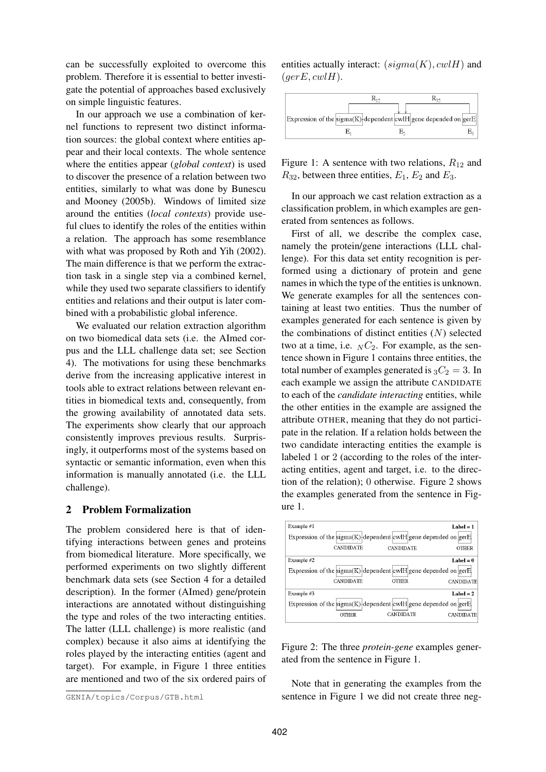can be successfully exploited to overcome this problem. Therefore it is essential to better investigate the potential of approaches based exclusively on simple linguistic features.

In our approach we use a combination of kernel functions to represent two distinct information sources: the global context where entities appear and their local contexts. The whole sentence where the entities appear (*global context*) is used to discover the presence of a relation between two entities, similarly to what was done by Bunescu and Mooney (2005b). Windows of limited size around the entities (*local contexts*) provide useful clues to identify the roles of the entities within a relation. The approach has some resemblance with what was proposed by Roth and Yih (2002). The main difference is that we perform the extraction task in a single step via a combined kernel, while they used two separate classifiers to identify entities and relations and their output is later combined with a probabilistic global inference.

We evaluated our relation extraction algorithm on two biomedical data sets (i.e. the AImed corpus and the LLL challenge data set; see Section 4). The motivations for using these benchmarks derive from the increasing applicative interest in tools able to extract relations between relevant entities in biomedical texts and, consequently, from the growing availability of annotated data sets. The experiments show clearly that our approach consistently improves previous results. Surprisingly, it outperforms most of the systems based on syntactic or semantic information, even when this information is manually annotated (i.e. the LLL challenge).

### **2 Problem Formalization**

The problem considered here is that of identifying interactions between genes and proteins from biomedical literature. More specifically, we performed experiments on two slightly different benchmark data sets (see Section 4 for a detailed description). In the former (AImed) gene/protein interactions are annotated without distinguishing the type and roles of the two interacting entities. The latter (LLL challenge) is more realistic (and complex) because it also aims at identifying the roles played by the interacting entities (agent and target). For example, in Figure 1 three entities are mentioned and two of the six ordered pairs of entities actually interact:  $(signa(K), cvlH)$  and  $(gerE, cvlH).$ 



Figure 1: A sentence with two relations,  $R_{12}$  and  $R_{32}$ , between three entities,  $E_1$ ,  $E_2$  and  $E_3$ .

In our approach we cast relation extraction as a classification problem, in which examples are generated from sentences as follows.

First of all, we describe the complex case, namely the protein/gene interactions (LLL challenge). For this data set entity recognition is performed using a dictionary of protein and gene names in which the type of the entities is unknown. We generate examples for all the sentences containing at least two entities. Thus the number of examples generated for each sentence is given by the combinations of distinct entities  $(N)$  selected two at a time, i.e.  $_N C_2$ . For example, as the sentence shown in Figure 1 contains three entities, the total number of examples generated is  ${}_{3}C_{2} = 3$ . In each example we assign the attribute CANDIDATE to each of the *candidate interacting* entities, while the other entities in the example are assigned the attribute OTHER, meaning that they do not participate in the relation. If a relation holds between the two candidate interacting entities the example is labeled 1 or 2 (according to the roles of the interacting entities, agent and target, i.e. to the direction of the relation); 0 otherwise. Figure 2 shows the examples generated from the sentence in Figure 1.

| Example $#1$<br>Expression of the sigma(K) dependent $\text{ewI}$ gene depended on gerE<br><b>CANDIDATE</b><br><b>CANDIDATE</b><br>Example #2<br>Expression of the sigma(K) dependent $\text{ewI}$ gene depended on gerE<br><b>CANDIDATE</b><br><b>OTHER</b><br>Example $#3$<br>Expression of the sigma(K) dependent $\text{ewI}$ gene depended on gerE<br>CANDIDATE |       |  |                  |
|----------------------------------------------------------------------------------------------------------------------------------------------------------------------------------------------------------------------------------------------------------------------------------------------------------------------------------------------------------------------|-------|--|------------------|
|                                                                                                                                                                                                                                                                                                                                                                      |       |  | $Label = 1$      |
|                                                                                                                                                                                                                                                                                                                                                                      |       |  |                  |
|                                                                                                                                                                                                                                                                                                                                                                      |       |  | <b>OTHER</b>     |
|                                                                                                                                                                                                                                                                                                                                                                      |       |  | Label = $0$      |
|                                                                                                                                                                                                                                                                                                                                                                      |       |  |                  |
|                                                                                                                                                                                                                                                                                                                                                                      |       |  | CANDIDATE        |
|                                                                                                                                                                                                                                                                                                                                                                      |       |  | Label = $2$      |
|                                                                                                                                                                                                                                                                                                                                                                      |       |  |                  |
|                                                                                                                                                                                                                                                                                                                                                                      | OTHER |  | <b>CANDIDATE</b> |

Figure 2: The three *protein-gene* examples generated from the sentence in Figure 1.

Note that in generating the examples from the sentence in Figure 1 we did not create three neg-

GENIA/topics/Corpus/GTB.html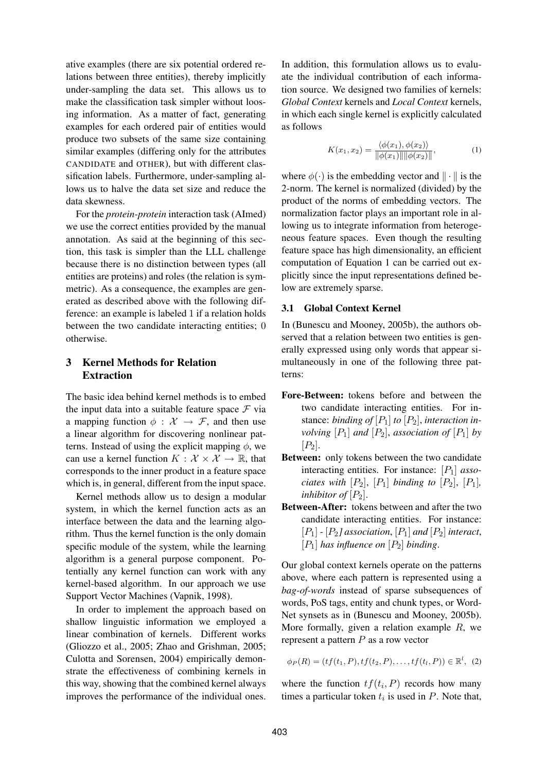ative examples (there are six potential ordered relations between three entities), thereby implicitly under-sampling the data set. This allows us to make the classification task simpler without loosing information. As a matter of fact, generating examples for each ordered pair of entities would produce two subsets of the same size containing similar examples (differing only for the attributes CANDIDATE and OTHER), but with different classification labels. Furthermore, under-sampling allows us to halve the data set size and reduce the data skewness.

For the *protein-protein* interaction task (AImed) we use the correct entities provided by the manual annotation. As said at the beginning of this section, this task is simpler than the LLL challenge because there is no distinction between types (all entities are proteins) and roles (the relation is symmetric). As a consequence, the examples are generated as described above with the following difference: an example is labeled 1 if a relation holds between the two candidate interacting entities; 0 otherwise.

# **3 Kernel Methods for Relation Extraction**

The basic idea behind kernel methods is to embed the input data into a suitable feature space  $\mathcal F$  via a mapping function  $\phi : \mathcal{X} \to \mathcal{F}$ , and then use a linear algorithm for discovering nonlinear patterns. Instead of using the explicit mapping  $\phi$ , we can use a kernel function  $K : \mathcal{X} \times \mathcal{X} \to \mathbb{R}$ , that corresponds to the inner product in a feature space which is, in general, different from the input space.

Kernel methods allow us to design a modular system, in which the kernel function acts as an interface between the data and the learning algorithm. Thus the kernel function is the only domain specific module of the system, while the learning algorithm is a general purpose component. Potentially any kernel function can work with any kernel-based algorithm. In our approach we use Support Vector Machines (Vapnik, 1998).

In order to implement the approach based on shallow linguistic information we employed a linear combination of kernels. Different works (Gliozzo et al., 2005; Zhao and Grishman, 2005; Culotta and Sorensen, 2004) empirically demonstrate the effectiveness of combining kernels in this way, showing that the combined kernel always improves the performance of the individual ones.

In addition, this formulation allows us to evaluate the individual contribution of each information source. We designed two families of kernels: *Global Context* kernels and *Local Context* kernels, in which each single kernel is explicitly calculated as follows

$$
K(x_1, x_2) = \frac{\langle \phi(x_1), \phi(x_2) \rangle}{\|\phi(x_1)\| \|\phi(x_2)\|},
$$
 (1)

where  $\phi(\cdot)$  is the embedding vector and  $\|\cdot\|$  is the 2-norm. The kernel is normalized (divided) by the product of the norms of embedding vectors. The normalization factor plays an important role in allowing us to integrate information from heterogeneous feature spaces. Even though the resulting feature space has high dimensionality, an efficient computation of Equation 1 can be carried out explicitly since the input representations defined below are extremely sparse.

### **3.1 Global Context Kernel**

In (Bunescu and Mooney, 2005b), the authors observed that a relation between two entities is generally expressed using only words that appear simultaneously in one of the following three patterns:

- **Fore-Between:** tokens before and between the two candidate interacting entities. For instance: *binding of*  $[P_1]$  to  $[P_2]$ , *interaction involving*  $[P_1]$  *and*  $[P_2]$ *, association of*  $[P_1]$  *by*  $[P_2]$ .
- **Between:** only tokens between the two candidate interacting entities. For instance:  $[P_1]$  *associates with*  $[P_2]$ ,  $[P_1]$  *binding to*  $[P_2]$ ,  $[P_1]$ *, inhibitor of*  $[P_2]$ .
- **Between-After:** tokens between and after the two candidate interacting entities. For instance:  $[P_1]$  *-*  $[P_2]$  association,  $[P_1]$  and  $[P_2]$  interact,  $[P_1]$  *has influence on*  $[P_2]$  *binding.*

Our global context kernels operate on the patterns above, where each pattern is represented using a *bag-of-words* instead of sparse subsequences of words, PoS tags, entity and chunk types, or Word-Net synsets as in (Bunescu and Mooney, 2005b). More formally, given a relation example  $R$ , we represent a pattern  $P$  as a row vector

$$
\phi_P(R) = (tf(t_1, P), tf(t_2, P), \dots, tf(t_l, P)) \in \mathbb{R}^l, (2)
$$

where the function  $tf(t_i, P)$  records how many times a particular token  $t_i$  is used in  $P$ . Note that,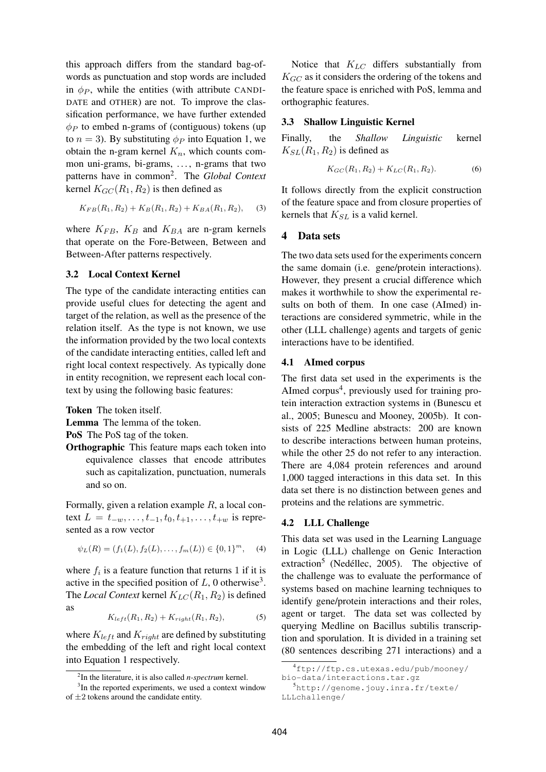this approach differs from the standard bag-ofwords as punctuation and stop words are included in  $\phi_P$ , while the entities (with attribute CANDI-DATE and OTHER) are not. To improve the classification performance, we have further extended  $\phi_P$  to embed n-grams of (contiguous) tokens (up to  $n = 3$ ). By substituting  $\phi_P$  into Equation 1, we obtain the n-gram kernel  $K_n$ , which counts common uni-grams, bi-grams, ..., n-grams that two patterns have in common<sup>2</sup> . The *Global Context* kernel  $K_{GC}(R_1, R_2)$  is then defined as

$$
K_{FB}(R_1, R_2) + K_B(R_1, R_2) + K_{BA}(R_1, R_2), \quad (3)
$$

where  $K_{FB}$ ,  $K_B$  and  $K_{BA}$  are n-gram kernels that operate on the Fore-Between, Between and Between-After patterns respectively.

### **3.2 Local Context Kernel**

The type of the candidate interacting entities can provide useful clues for detecting the agent and target of the relation, as well as the presence of the relation itself. As the type is not known, we use the information provided by the two local contexts of the candidate interacting entities, called left and right local context respectively. As typically done in entity recognition, we represent each local context by using the following basic features:

**Token** The token itself.

**Lemma** The lemma of the token.

**PoS** The PoS tag of the token.

**Orthographic** This feature maps each token into equivalence classes that encode attributes such as capitalization, punctuation, numerals and so on.

Formally, given a relation example  $R$ , a local context  $L = t_{-w}, \ldots, t_{-1}, t_0, t_{+1}, \ldots, t_{+w}$  is represented as a row vector

$$
\psi_L(R) = (f_1(L), f_2(L), \dots, f_m(L)) \in \{0, 1\}^m, \quad (4)
$$

where  $f_i$  is a feature function that returns 1 if it is active in the specified position of  $L$ , 0 otherwise<sup>3</sup>. The *Local Context* kernel  $K_{LC}(R_1, R_2)$  is defined as

$$
K_{left}(R_1, R_2) + K_{right}(R_1, R_2), \tag{5}
$$

where  $K_{left}$  and  $K_{right}$  are defined by substituting the embedding of the left and right local context into Equation 1 respectively.

Notice that  $K_{LC}$  differs substantially from  $K_{GC}$  as it considers the ordering of the tokens and the feature space is enriched with PoS, lemma and orthographic features.

### **3.3 Shallow Linguistic Kernel**

Finally, the *Shallow Linguistic* kernel  $K_{SL}(R_1, R_2)$  is defined as

$$
K_{GC}(R_1, R_2) + K_{LC}(R_1, R_2). \tag{6}
$$

It follows directly from the explicit construction of the feature space and from closure properties of kernels that  $K_{SL}$  is a valid kernel.

# **4 Data sets**

The two data sets used for the experiments concern the same domain (i.e. gene/protein interactions). However, they present a crucial difference which makes it worthwhile to show the experimental results on both of them. In one case (AImed) interactions are considered symmetric, while in the other (LLL challenge) agents and targets of genic interactions have to be identified.

#### **4.1 AImed corpus**

The first data set used in the experiments is the AImed corpus<sup>4</sup>, previously used for training protein interaction extraction systems in (Bunescu et al., 2005; Bunescu and Mooney, 2005b). It consists of 225 Medline abstracts: 200 are known to describe interactions between human proteins, while the other 25 do not refer to any interaction. There are 4,084 protein references and around 1,000 tagged interactions in this data set. In this data set there is no distinction between genes and proteins and the relations are symmetric.

#### **4.2 LLL Challenge**

This data set was used in the Learning Language in Logic (LLL) challenge on Genic Interaction extraction<sup>5</sup> (Nedéllec, 2005). The objective of the challenge was to evaluate the performance of systems based on machine learning techniques to identify gene/protein interactions and their roles, agent or target. The data set was collected by querying Medline on Bacillus subtilis transcription and sporulation. It is divided in a training set (80 sentences describing 271 interactions) and a

<sup>2</sup> In the literature, it is also called *n-spectrum* kernel.

<sup>&</sup>lt;sup>3</sup>In the reported experiments, we used a context window of  $\pm 2$  tokens around the candidate entity.

<sup>4</sup>ftp://ftp.cs.utexas.edu/pub/mooney/ bio-data/interactions.tar.gz

<sup>5</sup>http://genome.jouy.inra.fr/texte/ LLLchallenge/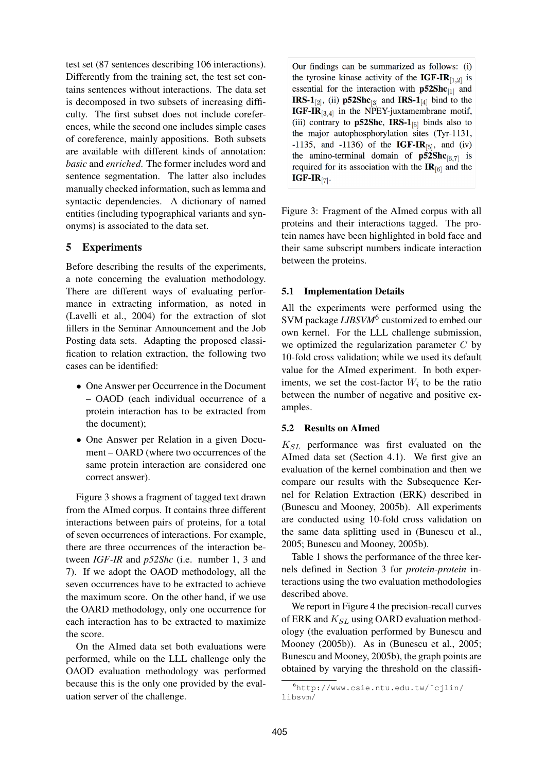test set (87 sentences describing 106 interactions). Differently from the training set, the test set contains sentences without interactions. The data set is decomposed in two subsets of increasing difficulty. The first subset does not include coreferences, while the second one includes simple cases of coreference, mainly appositions. Both subsets are available with different kinds of annotation: *basic* and *enriched*. The former includes word and sentence segmentation. The latter also includes manually checked information, such as lemma and syntactic dependencies. A dictionary of named entities (including typographical variants and synonyms) is associated to the data set.

# **5 Experiments**

Before describing the results of the experiments, a note concerning the evaluation methodology. There are different ways of evaluating performance in extracting information, as noted in (Lavelli et al., 2004) for the extraction of slot fillers in the Seminar Announcement and the Job Posting data sets. Adapting the proposed classification to relation extraction, the following two cases can be identified:

- One Answer per Occurrence in the Document – OAOD (each individual occurrence of a protein interaction has to be extracted from the document);
- One Answer per Relation in a given Document – OARD (where two occurrences of the same protein interaction are considered one correct answer).

Figure 3 shows a fragment of tagged text drawn from the AImed corpus. It contains three different interactions between pairs of proteins, for a total of seven occurrences of interactions. For example, there are three occurrences of the interaction between *IGF-IR* and *p52Shc* (i.e. number 1, 3 and 7). If we adopt the OAOD methodology, all the seven occurrences have to be extracted to achieve the maximum score. On the other hand, if we use the OARD methodology, only one occurrence for each interaction has to be extracted to maximize the score.

On the AImed data set both evaluations were performed, while on the LLL challenge only the OAOD evaluation methodology was performed because this is the only one provided by the evaluation server of the challenge.

Our findings can be summarized as follows: (i) the tyrosine kinase activity of the IGF-IR $_{[1,2]}$  is essential for the interaction with  $p52Shc_{11}$  and **IRS-1** $_{[2]}$ , (ii) **p52Shc**<sub>[3]</sub> and **IRS-1** $_{[4]}$  bind to the IGF-IR<sub>[3,4]</sub> in the NPEY-juxtamembrane motif, (iii) contrary to **p52Shc**, **IRS-1** $_{[5]}$  binds also to the major autophosphorylation sites (Tyr-1131, -1135, and -1136) of the **IGF-IR**<sup>[5]</sup>, and (iv) the amino-terminal domain of  $p52Shc_{[6,7]}$  is required for its association with the  $IR_{[6]}$  and the  $IGF-IR_{[7]}$ .

Figure 3: Fragment of the AImed corpus with all proteins and their interactions tagged. The protein names have been highlighted in bold face and their same subscript numbers indicate interaction between the proteins.

# **5.1 Implementation Details**

All the experiments were performed using the SVM package *LIBSVM*<sup>6</sup> customized to embed our own kernel. For the LLL challenge submission, we optimized the regularization parameter  $C$  by 10-fold cross validation; while we used its default value for the AImed experiment. In both experiments, we set the cost-factor  $W_i$  to be the ratio between the number of negative and positive examples.

### **5.2 Results on AImed**

 $K_{SL}$  performance was first evaluated on the AImed data set (Section 4.1). We first give an evaluation of the kernel combination and then we compare our results with the Subsequence Kernel for Relation Extraction (ERK) described in (Bunescu and Mooney, 2005b). All experiments are conducted using 10-fold cross validation on the same data splitting used in (Bunescu et al., 2005; Bunescu and Mooney, 2005b).

Table 1 shows the performance of the three kernels defined in Section 3 for *protein-protein* interactions using the two evaluation methodologies described above.

We report in Figure 4 the precision-recall curves of ERK and  $K_{SL}$  using OARD evaluation methodology (the evaluation performed by Bunescu and Mooney (2005b)). As in (Bunescu et al., 2005; Bunescu and Mooney, 2005b), the graph points are obtained by varying the threshold on the classifi-

<sup>6</sup>http://www.csie.ntu.edu.tw/˜cjlin/ libsvm/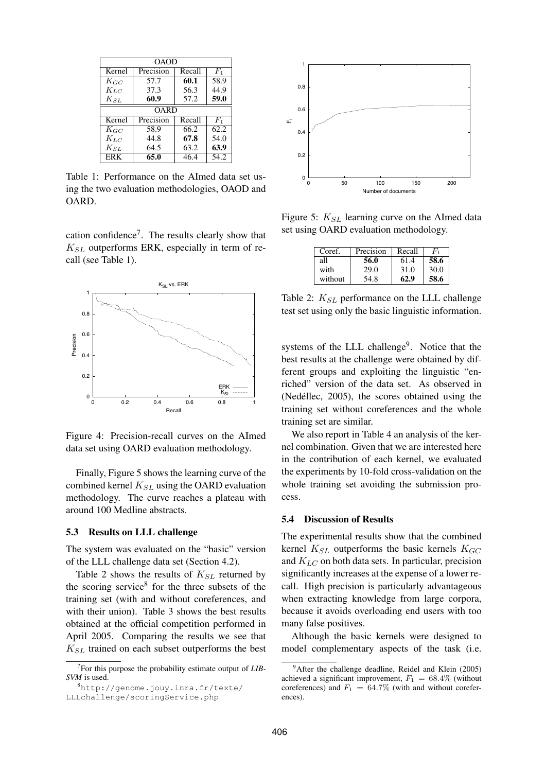| OAOD       |             |        |       |  |  |
|------------|-------------|--------|-------|--|--|
| Kernel     | Precision   | Recall | $F_1$ |  |  |
| $K_{GC}$   | 57.7        | 60.1   | 58.9  |  |  |
| $K_{LC}$   | 37.3        | 56.3   | 44.9  |  |  |
| $K_{SL}$   | 60.9        | 57.2   | 59.0  |  |  |
|            | <b>OARD</b> |        |       |  |  |
| Kernel     | Precision   | Recall | $F_1$ |  |  |
| $K_{GC}$   | 58.9        | 66.2   | 62.2  |  |  |
| $K_{LC}$   | 44.8        | 67.8   | 54.0  |  |  |
| $K_{SL}$   | 64.5        | 63.2   | 63.9  |  |  |
| <b>ERK</b> | 65.0        | 46.4   | 54.2  |  |  |

Table 1: Performance on the AImed data set using the two evaluation methodologies, OAOD and OARD.

cation confidence<sup>7</sup>. The results clearly show that  $K_{SL}$  outperforms ERK, especially in term of recall (see Table 1).



Figure 4: Precision-recall curves on the AImed data set using OARD evaluation methodology.

Finally, Figure 5 shows the learning curve of the combined kernel  $K_{SL}$  using the OARD evaluation methodology. The curve reaches a plateau with around 100 Medline abstracts.

#### **5.3 Results on LLL challenge**

The system was evaluated on the "basic" version of the LLL challenge data set (Section 4.2).

Table 2 shows the results of  $K_{SL}$  returned by the scoring service<sup>8</sup> for the three subsets of the training set (with and without coreferences, and with their union). Table 3 shows the best results obtained at the official competition performed in April 2005. Comparing the results we see that  $K_{SL}$  trained on each subset outperforms the best



Figure 5:  $K_{SL}$  learning curve on the AImed data set using OARD evaluation methodology.

| Coref.  | Precision | Recall |      |
|---------|-----------|--------|------|
| all     | 56.0      | 61.4   | 58.6 |
| with    | 29.0      | 31.0   | 30.0 |
| without | 54.8      | 62.9   | 58.6 |

Table 2:  $K_{SL}$  performance on the LLL challenge test set using only the basic linguistic information.

systems of the LLL challenge<sup>9</sup>. Notice that the best results at the challenge were obtained by different groups and exploiting the linguistic "enriched" version of the data set. As observed in (Nedéllec,  $2005$ ), the scores obtained using the training set without coreferences and the whole training set are similar.

We also report in Table 4 an analysis of the kernel combination. Given that we are interested here in the contribution of each kernel, we evaluated the experiments by 10-fold cross-validation on the whole training set avoiding the submission process.

### **5.4 Discussion of Results**

The experimental results show that the combined kernel  $K_{SL}$  outperforms the basic kernels  $K_{GC}$ and  $K_{LC}$  on both data sets. In particular, precision significantly increases at the expense of a lower recall. High precision is particularly advantageous when extracting knowledge from large corpora, because it avoids overloading end users with too many false positives.

Although the basic kernels were designed to model complementary aspects of the task (i.e.

<sup>7</sup> For this purpose the probability estimate output of *LIB-SVM* is used.

<sup>8</sup>http://genome.jouy.inra.fr/texte/ LLLchallenge/scoringService.php

 $9^9$ After the challenge deadline, Reidel and Klein (2005) achieved a significant improvement,  $F_1 = 68.4\%$  (without coreferences) and  $F_1 = 64.7\%$  (with and without coreferences).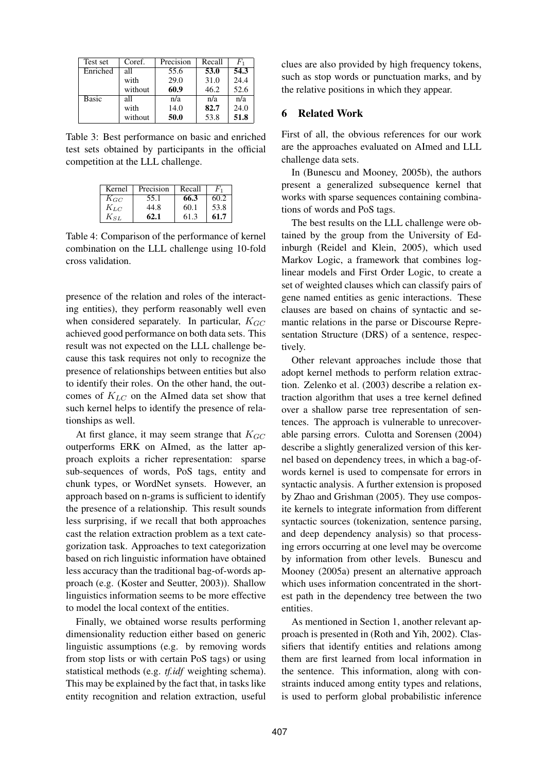| Test set     | Coref.  | Precision | Recall | $F_1$ |
|--------------|---------|-----------|--------|-------|
| Enriched     | all     | 55.6      | 53.0   | 54.3  |
|              | with    | 29.0      | 31.0   | 24.4  |
|              | without | 60.9      | 46.2   | 52.6  |
| <b>Basic</b> | all     | n/a       | n/a    | n/a   |
|              | with    | 14.0      | 82.7   | 24.0  |
|              | without | 50.0      | 53.8   | 51.8  |

Table 3: Best performance on basic and enriched test sets obtained by participants in the official competition at the LLL challenge.

| Kernel   | Precision | Recall |      |
|----------|-----------|--------|------|
| $K_{GC}$ | 55.1      | 66.3   | 60.2 |
| $K_{LC}$ | 44.8      | 60.1   | 53.8 |
| $K_{SL}$ | 62.1      | 61.3   | 61.7 |

Table 4: Comparison of the performance of kernel combination on the LLL challenge using 10-fold cross validation.

presence of the relation and roles of the interacting entities), they perform reasonably well even when considered separately. In particular,  $K_{GC}$ achieved good performance on both data sets. This result was not expected on the LLL challenge because this task requires not only to recognize the presence of relationships between entities but also to identify their roles. On the other hand, the outcomes of  $K_{LC}$  on the AImed data set show that such kernel helps to identify the presence of relationships as well.

At first glance, it may seem strange that  $K_{GC}$ outperforms ERK on AImed, as the latter approach exploits a richer representation: sparse sub-sequences of words, PoS tags, entity and chunk types, or WordNet synsets. However, an approach based on n-grams is sufficient to identify the presence of a relationship. This result sounds less surprising, if we recall that both approaches cast the relation extraction problem as a text categorization task. Approaches to text categorization based on rich linguistic information have obtained less accuracy than the traditional bag-of-words approach (e.g. (Koster and Seutter, 2003)). Shallow linguistics information seems to be more effective to model the local context of the entities.

Finally, we obtained worse results performing dimensionality reduction either based on generic linguistic assumptions (e.g. by removing words from stop lists or with certain PoS tags) or using statistical methods (e.g. *tf.idf* weighting schema). This may be explained by the fact that, in tasks like entity recognition and relation extraction, useful

clues are also provided by high frequency tokens, such as stop words or punctuation marks, and by the relative positions in which they appear.

### **6 Related Work**

First of all, the obvious references for our work are the approaches evaluated on AImed and LLL challenge data sets.

In (Bunescu and Mooney, 2005b), the authors present a generalized subsequence kernel that works with sparse sequences containing combinations of words and PoS tags.

The best results on the LLL challenge were obtained by the group from the University of Edinburgh (Reidel and Klein, 2005), which used Markov Logic, a framework that combines loglinear models and First Order Logic, to create a set of weighted clauses which can classify pairs of gene named entities as genic interactions. These clauses are based on chains of syntactic and semantic relations in the parse or Discourse Representation Structure (DRS) of a sentence, respectively.

Other relevant approaches include those that adopt kernel methods to perform relation extraction. Zelenko et al. (2003) describe a relation extraction algorithm that uses a tree kernel defined over a shallow parse tree representation of sentences. The approach is vulnerable to unrecoverable parsing errors. Culotta and Sorensen (2004) describe a slightly generalized version of this kernel based on dependency trees, in which a bag-ofwords kernel is used to compensate for errors in syntactic analysis. A further extension is proposed by Zhao and Grishman (2005). They use composite kernels to integrate information from different syntactic sources (tokenization, sentence parsing, and deep dependency analysis) so that processing errors occurring at one level may be overcome by information from other levels. Bunescu and Mooney (2005a) present an alternative approach which uses information concentrated in the shortest path in the dependency tree between the two entities.

As mentioned in Section 1, another relevant approach is presented in (Roth and Yih, 2002). Classifiers that identify entities and relations among them are first learned from local information in the sentence. This information, along with constraints induced among entity types and relations, is used to perform global probabilistic inference